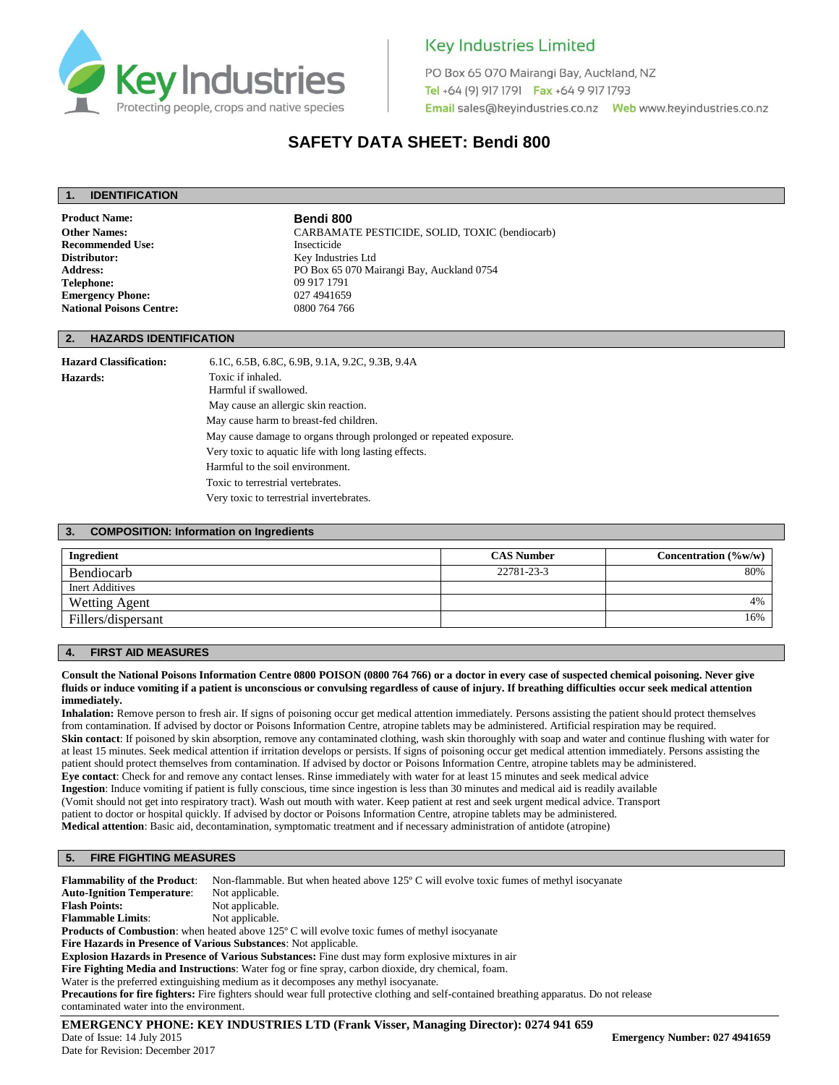

## **Key Industries Limited**

PO Box 65 070 Mairangi Bay, Auckland, NZ Tel +64 (9) 917 1791 Fax +64 9 917 1793 

## **SAFETY DATA SHEET: Bendi 800**

### **1. IDENTIFICATION**

**Product Name: Bendi 800**<br> **Other Names:** CARBAMAT **Recommended Use:** Insecticide<br> **Distributor:** Key Indust **Telephone:** 09 917 1791 **Emergency Phone:** 027 4941659<br> **National Poisons Centre:** 0800 764 766 **National Poisons Centre:** 

**Other Names:** CARBAMATE PESTICIDE, SOLID, TOXIC (bendiocarb) **Distributor:** Key Industries Ltd **Address:** PO Box 65 070 Mairangi Bay, Auckland 0754

## **2. HAZARDS IDENTIFICATION**

**Hazard Classification:** 6.1C, 6.5B, 6.8C, 6.9B, 9.1A, 9.2C, 9.3B, 9.4A **Hazards:** Toxic if inhaled. Harmful if swallowed. May cause an allergic skin reaction. May cause harm to breast-fed children. May cause damage to organs through prolonged or repeated exposure.

Very toxic to aquatic life with long lasting effects.

Harmful to the soil environment.

Toxic to terrestrial vertebrates.

Very toxic to terrestrial invertebrates.

### **3. COMPOSITION: Information on Ingredients**

| Ingredient           | <b>CAS Number</b> | Concentration $(\%w/w)$ |
|----------------------|-------------------|-------------------------|
| Bendiocarb           | 22781-23-3        | 80%                     |
| Inert Additives      |                   |                         |
| <b>Wetting Agent</b> |                   | 4%                      |
| Fillers/dispersant   |                   | 16%                     |

## **4. FIRST AID MEASURES**

#### **Consult the National Poisons Information Centre 0800 POISON (0800 764 766) or a doctor in every case of suspected chemical poisoning. Never give fluids or induce vomiting if a patient is unconscious or convulsing regardless of cause of injury. If breathing difficulties occur seek medical attention immediately.**

**Inhalation:** Remove person to fresh air. If signs of poisoning occur get medical attention immediately. Persons assisting the patient should protect themselves from contamination. If advised by doctor or Poisons Information Centre, atropine tablets may be administered. Artificial respiration may be required. **Skin contact**: If poisoned by skin absorption, remove any contaminated clothing, wash skin thoroughly with soap and water and continue flushing with water for at least 15 minutes. Seek medical attention if irritation develops or persists. If signs of poisoning occur get medical attention immediately. Persons assisting the patient should protect themselves from contamination. If advised by doctor or Poisons Information Centre, atropine tablets may be administered. **Eye contact**: Check for and remove any contact lenses. Rinse immediately with water for at least 15 minutes and seek medical advice **Ingestion**: Induce vomiting if patient is fully conscious, time since ingestion is less than 30 minutes and medical aid is readily available (Vomit should not get into respiratory tract). Wash out mouth with water. Keep patient at rest and seek urgent medical advice. Transport patient to doctor or hospital quickly. If advised by doctor or Poisons Information Centre, atropine tablets may be administered. **Medical attention**: Basic aid, decontamination, symptomatic treatment and if necessary administration of antidote (atropine)

## **5. FIRE FIGHTING MEASURES**

**Flammability of the Product**: Non-flammable. But when heated above 125º C will evolve toxic fumes of methyl isocyanate **Auto-Ignition Temperature:** Not applicable.<br> **Flash Points:** Not applicable. Not applicable.<br>Not applicable. **Flammable Limits: Products of Combustion**: when heated above 125° C will evolve toxic fumes of methyl isocyanate **Fire Hazards in Presence of Various Substances**: Not applicable. **Explosion Hazards in Presence of Various Substances:** Fine dust may form explosive mixtures in air

**Fire Fighting Media and Instructions**: Water fog or fine spray, carbon dioxide, dry chemical, foam.

Water is the preferred extinguishing medium as it decomposes any methyl isocyanate. **Precautions for fire fighters:** Fire fighters should wear full protective clothing and self-contained breathing apparatus. Do not release contaminated water into the environment.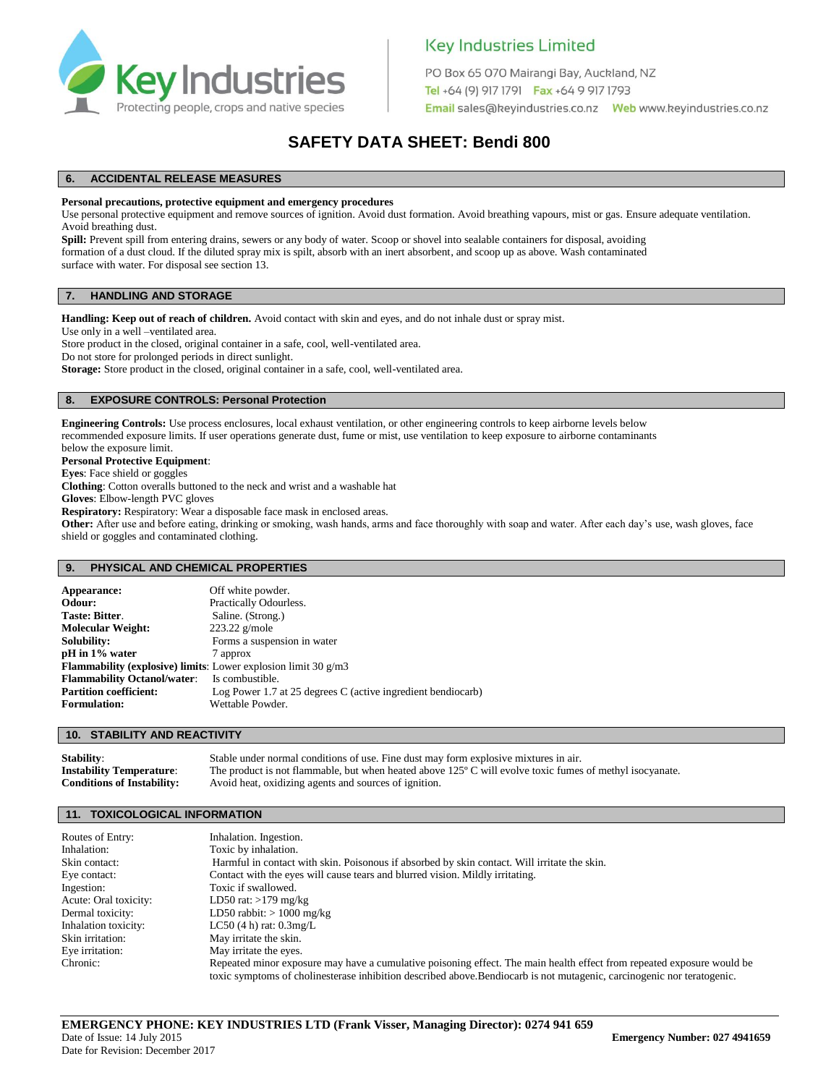

## **Key Industries Limited**

PO Box 65 070 Mairangi Bay, Auckland, NZ Tel +64 (9) 917 1791 Fax +64 9 917 1793 

## **SAFETY DATA SHEET: Bendi 800**

## **6. ACCIDENTAL RELEASE MEASURES**

#### **Personal precautions, protective equipment and emergency procedures**

Use personal protective equipment and remove sources of ignition. Avoid dust formation. Avoid breathing vapours, mist or gas. Ensure adequate ventilation. Avoid breathing dust.

Spill: Prevent spill from entering drains, sewers or any body of water. Scoop or shovel into sealable containers for disposal, avoiding formation of a dust cloud. If the diluted spray mix is spilt, absorb with an inert absorbent, and scoop up as above. Wash contaminated surface with water. For disposal see section 13.

#### **7. HANDLING AND STORAGE**

**Handling: Keep out of reach of children.** Avoid contact with skin and eyes, and do not inhale dust or spray mist.

Use only in a well –ventilated area.

Store product in the closed, original container in a safe, cool, well-ventilated area. Do not store for prolonged periods in direct sunlight.

**Storage:** Store product in the closed, original container in a safe, cool, well-ventilated area.

## **8. EXPOSURE CONTROLS: Personal Protection**

**Engineering Controls:** Use process enclosures, local exhaust ventilation, or other engineering controls to keep airborne levels below recommended exposure limits. If user operations generate dust, fume or mist, use ventilation to keep exposure to airborne contaminants below the exposure limit.

**Personal Protective Equipment**:

**Eyes**: Face shield or goggles

**Clothing**: Cotton overalls buttoned to the neck and wrist and a washable hat

**Gloves**: Elbow-length PVC gloves

**Respiratory:** Respiratory: Wear a disposable face mask in enclosed areas.

**Other:** After use and before eating, drinking or smoking, wash hands, arms and face thoroughly with soap and water. After each day's use, wash gloves, face shield or goggles and contaminated clothing.

#### **9. PHYSICAL AND CHEMICAL PROPERTIES**

| Appearance:                                                             | Off white powder.                                            |
|-------------------------------------------------------------------------|--------------------------------------------------------------|
| Odour:                                                                  | Practically Odourless.                                       |
| <b>Taste: Bitter.</b>                                                   | Saline. (Strong.)                                            |
| <b>Molecular Weight:</b>                                                | $223.22$ g/mole                                              |
| Solubility:                                                             | Forms a suspension in water                                  |
| pH in 1% water                                                          | 7 approx                                                     |
| <b>Flammability (explosive) limits:</b> Lower explosion limit 30 $g/m3$ |                                                              |
| <b>Flammability Octanol/water:</b> Is combustible.                      |                                                              |
| <b>Partition coefficient:</b>                                           | Log Power 1.7 at 25 degrees C (active ingredient bendiocarb) |
| <b>Formulation:</b>                                                     | Wettable Powder.                                             |

#### **10. STABILITY AND REACTIVITY**

**Stability:** Stable under normal conditions of use. Fine dust may form explosive mixtures in air. **Instability Temperature**: The product is not flammable, but when heated above 125º C will evolve toxic fumes of methyl isocyanate. **Conditions of Instability:** Avoid heat, oxidizing agents and sources of ignition.

#### **11. TOXICOLOGICAL INFORMATION**

| Routes of Entry:      | Inhalation. Ingestion.                                                                                                                                                                                                                            |
|-----------------------|---------------------------------------------------------------------------------------------------------------------------------------------------------------------------------------------------------------------------------------------------|
| Inhalation:           | Toxic by inhalation.                                                                                                                                                                                                                              |
| Skin contact:         | Harmful in contact with skin. Poisonous if absorbed by skin contact. Will irritate the skin.                                                                                                                                                      |
| Eye contact:          | Contact with the eyes will cause tears and blurred vision. Mildly irritating.                                                                                                                                                                     |
| Ingestion:            | Toxic if swallowed.                                                                                                                                                                                                                               |
| Acute: Oral toxicity: | LD50 rat: $>179$ mg/kg                                                                                                                                                                                                                            |
| Dermal toxicity:      | LD50 rabbit: $> 1000$ mg/kg                                                                                                                                                                                                                       |
| Inhalation toxicity:  | LC50 $(4 h)$ rat: $0.3 mg/L$                                                                                                                                                                                                                      |
| Skin irritation:      | May irritate the skin.                                                                                                                                                                                                                            |
| Eye irritation:       | May irritate the eyes.                                                                                                                                                                                                                            |
| Chronic:              | Repeated minor exposure may have a cumulative poisoning effect. The main health effect from repeated exposure would be<br>toxic symptoms of cholinesterase inhibition described above. Bendiocarb is not mutagenic, carcinogenic nor teratogenic. |